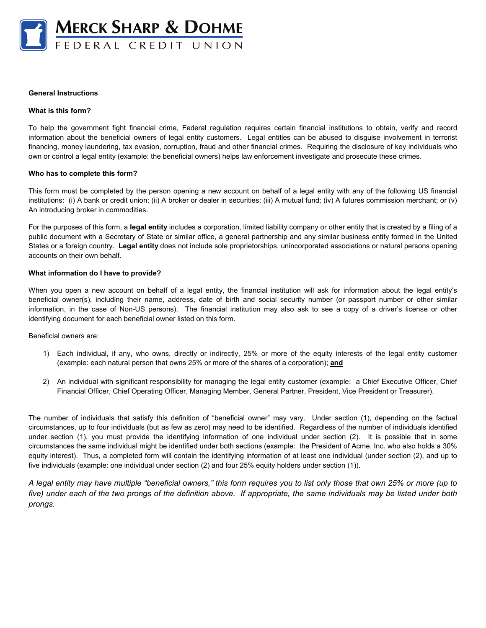

## **General Instructions**

#### **What is this form?**

To help the government fight financial crime, Federal regulation requires certain financial institutions to obtain, verify and record information about the beneficial owners of legal entity customers. Legal entities can be abused to disguise involvement in terrorist financing, money laundering, tax evasion, corruption, fraud and other financial crimes. Requiring the disclosure of key individuals who own or control a legal entity (example: the beneficial owners) helps law enforcement investigate and prosecute these crimes.

#### **Who has to complete this form?**

This form must be completed by the person opening a new account on behalf of a legal entity with any of the following US financial institutions: (i) A bank or credit union; (ii) A broker or dealer in securities; (iii) A mutual fund; (iv) A futures commission merchant; or (v) An introducing broker in commodities.

For the purposes of this form, a **legal entity** includes a corporation, limited liability company or other entity that is created by a filing of a public document with a Secretary of State or similar office, a general partnership and any similar business entity formed in the United States or a foreign country. **Legal entity** does not include sole proprietorships, unincorporated associations or natural persons opening accounts on their own behalf.

#### **What information do I have to provide?**

When you open a new account on behalf of a legal entity, the financial institution will ask for information about the legal entity's beneficial owner(s), including their name, address, date of birth and social security number (or passport number or other similar information, in the case of Non-US persons). The financial institution may also ask to see a copy of a driver's license or other identifying document for each beneficial owner listed on this form.

## Beneficial owners are:

- 1) Each individual, if any, who owns, directly or indirectly, 25% or more of the equity interests of the legal entity customer (example: each natural person that owns 25% or more of the shares of a corporation); **and**
- 2) An individual with significant responsibility for managing the legal entity customer (example: a Chief Executive Officer, Chief Financial Officer, Chief Operating Officer, Managing Member, General Partner, President, Vice President or Treasurer).

The number of individuals that satisfy this definition of "beneficial owner" may vary. Under section (1), depending on the factual circumstances, up to four individuals (but as few as zero) may need to be identified. Regardless of the number of individuals identified under section (1), you must provide the identifying information of one individual under section (2). It is possible that in some circumstances the same individual might be identified under both sections (example: the President of Acme, Inc. who also holds a 30% equity interest). Thus, a completed form will contain the identifying information of at least one individual (under section (2), and up to five individuals (example: one individual under section (2) and four 25% equity holders under section (1)).

*A legal entity may have multiple "beneficial owners," this form requires you to list only those that own 25% or more (up to five) under each of the two prongs of the definition above. If appropriate, the same individuals may be listed under both prongs.*